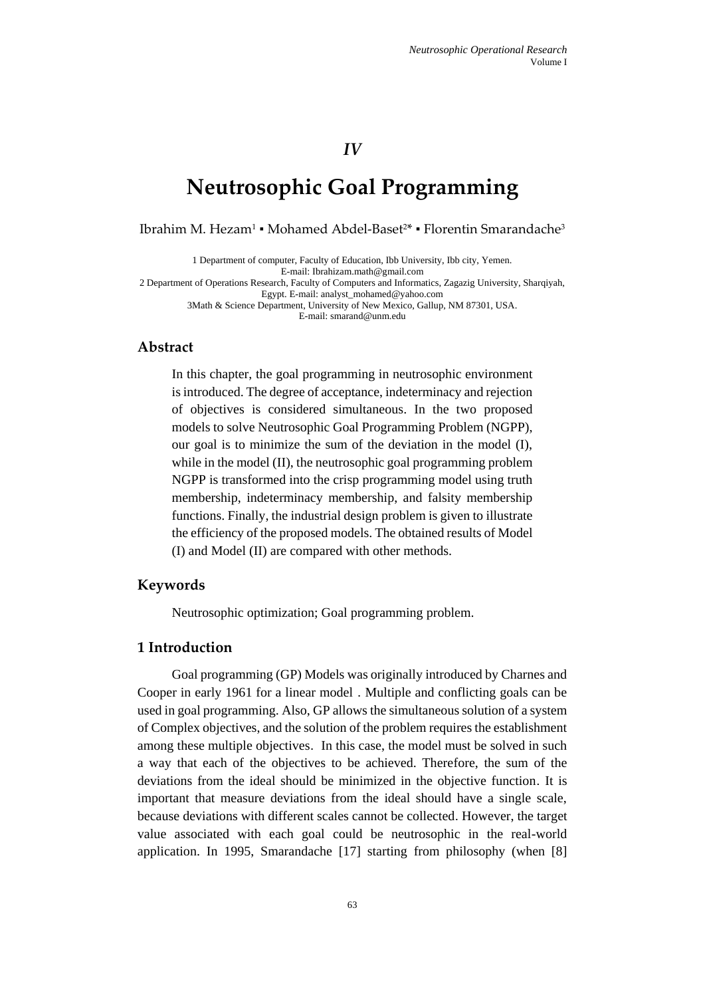*IV*

# **[Neutrosophic Goal Programming](http://www.sciencedirect.com/science/article/pii/S0020025507002940)**

Ibrahim M. Hezam<sup>1</sup> • Mohamed Abdel-Baset<sup>2\*</sup> • Florentin Smarandache<sup>3</sup>

1 Department of computer, Faculty of Education, Ibb University, Ibb city, Yemen. E-mail[: Ibrahizam.math@gmail.com](mailto:Ibrahizam.math@gmail.com) 2 Department of Operations Research, Faculty of Computers and Informatics, Zagazig University, Sharqiyah, Egypt. E-mail[: analyst\\_mohamed@yahoo.com](mailto:analyst_mohamed@yahoo.com) 3Math & Science Department, University of New Mexico, Gallup, NM 87301, USA. E-mail[: smarand@unm.edu](mailto:smarand@unm.edu)

## **Abstract**

In this chapter, the goal programming in neutrosophic environment is introduced. The degree of acceptance, indeterminacy and rejection of objectives is considered simultaneous. In the two proposed models to solve Neutrosophic Goal Programming Problem (NGPP), our goal is to minimize the sum of the deviation in the model (I), while in the model (II), the neutrosophic goal programming problem NGPP is transformed into the crisp programming model using truth membership, indeterminacy membership, and falsity membership functions. Finally, the industrial design problem is given to illustrate the efficiency of the proposed models. The obtained results of Model (I) and Model (II) are compared with other methods.

## **Keywords**

Neutrosophic optimization; Goal programming problem.

# **1 Introduction**

Goal programming (GP) Models was originally introduced by Charnes and Cooper in early 1961 for a linear model . Multiple and conflicting goals can be used in goal programming. Also, GP allows the simultaneous solution of a system of Complex objectives, and the solution of the problem requires the establishment among these multiple objectives. In this case, the model must be solved in such a way that each of the objectives to be achieved. Therefore, the sum of the deviations from the ideal should be minimized in the objective function. It is important that measure deviations from the ideal should have a single scale, because deviations with different scales cannot be collected. However, the target value associated with each goal could be neutrosophic in the real-world application. In 1995, Smarandache [17] starting from philosophy (when [8]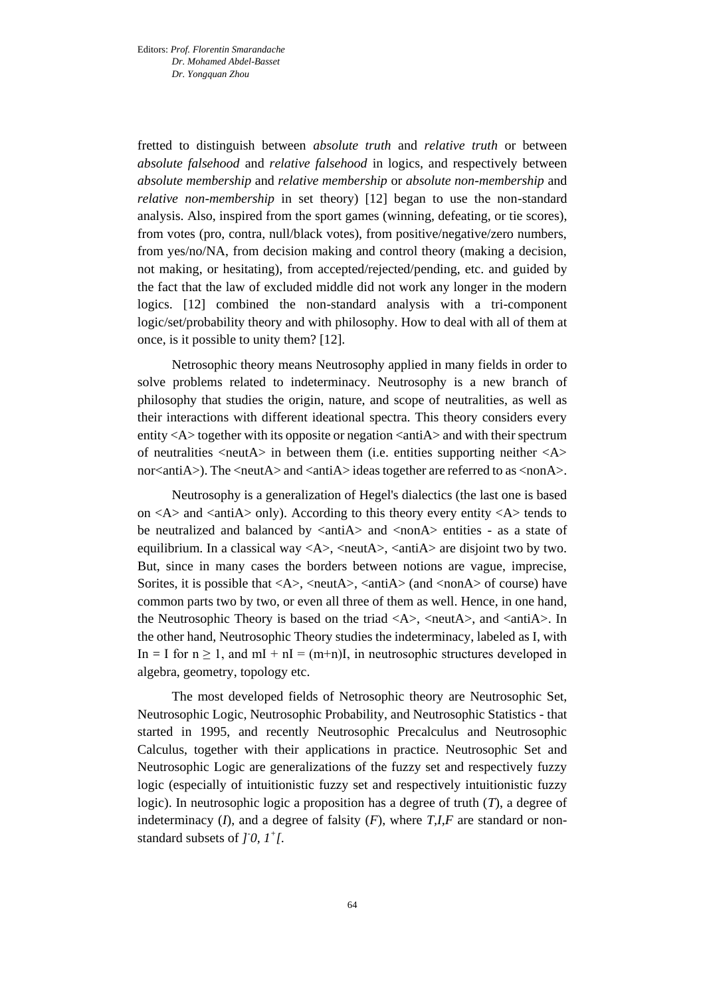fretted to distinguish between *absolute truth* and *relative truth* or between *absolute falsehood* and *relative falsehood* in logics, and respectively between *absolute membership* and *relative membership* or *absolute non-membership* and *relative non-membership* in set theory) [12] began to use the non-standard analysis. Also, inspired from the sport games (winning, defeating, or tie scores), from votes (pro, contra, null/black votes), from positive/negative/zero numbers, from yes/no/NA, from decision making and control theory (making a decision, not making, or hesitating), from accepted/rejected/pending, etc. and guided by the fact that the law of excluded middle did not work any longer in the modern logics. [12] combined the non-standard analysis with a tri-component logic/set/probability theory and with philosophy. How to deal with all of them at once, is it possible to unity them? [12].

Netrosophic theory means Neutrosophy applied in many fields in order to solve problems related to indeterminacy. Neutrosophy is a new branch of philosophy that studies the origin, nature, and scope of neutralities, as well as their interactions with different ideational spectra. This theory considers every entity  $\langle A \rangle$  together with its opposite or negation  $\langle$  anti $A \rangle$  and with their spectrum of neutralities  $\langle$  neut $\overline{A}\rangle$  in between them (i.e. entities supporting neither  $\langle A \rangle$ nor<antiA>). The <neutA> and <antiA> ideas together are referred to as <nonA>.

Neutrosophy is a generalization of Hegel's dialectics (the last one is based on  $\langle A \rangle$  and  $\langle \text{anti}A \rangle$  only). According to this theory every entity  $\langle A \rangle$  tends to be neutralized and balanced by  $\langle$ antiA $\rangle$  and  $\langle$ nonA $\rangle$  entities - as a state of equilibrium. In a classical way  $\langle A \rangle$ ,  $\langle \text{neut} A \rangle$ ,  $\langle \text{anti} A \rangle$  are disjoint two by two. But, since in many cases the borders between notions are vague, imprecise, Sorites, it is possible that  $\langle A \rangle$ ,  $\langle \text{neut} A \rangle$ ,  $\langle \text{anti} A \rangle$  (and  $\langle \text{non} A \rangle$  of course) have common parts two by two, or even all three of them as well. Hence, in one hand, the Neutrosophic Theory is based on the triad  $\langle A \rangle$ ,  $\langle \text{neut} A \rangle$ , and  $\langle \text{anti} A \rangle$ . In the other hand, Neutrosophic Theory studies the indeterminacy, labeled as I, with In = I for  $n \ge 1$ , and  $mI + nI = (m+n)I$ , in neutrosophic structures developed in algebra, geometry, topology etc.

The most developed fields of Netrosophic theory are Neutrosophic Set, Neutrosophic Logic, Neutrosophic Probability, and Neutrosophic Statistics - that started in 1995, and recently Neutrosophic Precalculus and Neutrosophic Calculus, together with their applications in practice. Neutrosophic Set and Neutrosophic Logic are generalizations of the fuzzy set and respectively fuzzy logic (especially of intuitionistic fuzzy set and respectively intuitionistic fuzzy logic). In neutrosophic logic a proposition has a degree of truth (*T*), a degree of indeterminacy  $(I)$ , and a degree of falsity  $(F)$ , where  $T,I,F$  are standard or nonstandard subsets of  $\int$  *j* 0,  $I^+$ [.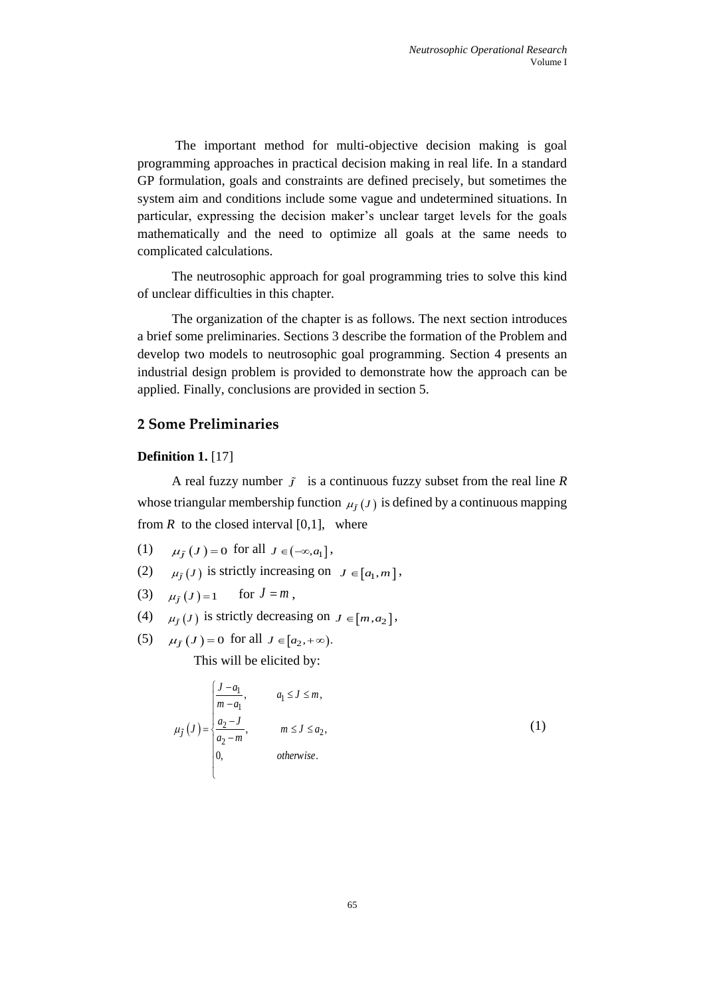The important method for multi-objective decision making is goal programming approaches in practical decision making in real life. In a standard GP formulation, goals and constraints are defined precisely, but sometimes the system aim and conditions include some vague and undetermined situations. In particular, expressing the decision maker's unclear target levels for the goals mathematically and the need to optimize all goals at the same needs to complicated calculations.

The neutrosophic approach for goal programming tries to solve this kind of unclear difficulties in this chapter.

The organization of the chapter is as follows. The next section introduces a brief some preliminaries. Sections 3 describe the formation of the Problem and develop two models to neutrosophic goal programming. Section 4 presents an industrial design problem is provided to demonstrate how the approach can be applied. Finally, conclusions are provided in section 5.

# **2 Some Preliminaries**

### **Definition 1.** [17]

A real fuzzy number  $\tilde{j}$  is a continuous fuzzy subset from the real line R whose triangular membership function  $\mu_{\tilde{J}}(J)$  is defined by a continuous mapping from  $R$  to the closed interval [0,1], where

- (1)  $\mu_{\tilde{J}}(J) = 0$  for all  $J \in (-\infty, a_1]$ ,
- (2)  $\mu_j(J)$  is strictly increasing on  $J \in [a_1, m]$ ,
- (3)  $\mu_j(J)=1$  for  $J=m$ ,
- (4)  $\mu_{\tilde{J}}(J)$  is strictly decreasing on  $J \in [m, a_2]$ ,
- (5)  $\mu_j(J) = 0$  for all  $J \in [a_2, +\infty)$ .

This will be elicited by:

$$
\mu_{\tilde{J}}(J) = \begin{cases}\n\frac{J - a_1}{m - a_1}, & a_1 \le J \le m, \\
\frac{a_2 - J}{a_2 - m}, & m \le J \le a_2, \\
0, & \text{otherwise.} \n\end{cases}
$$
\n(1)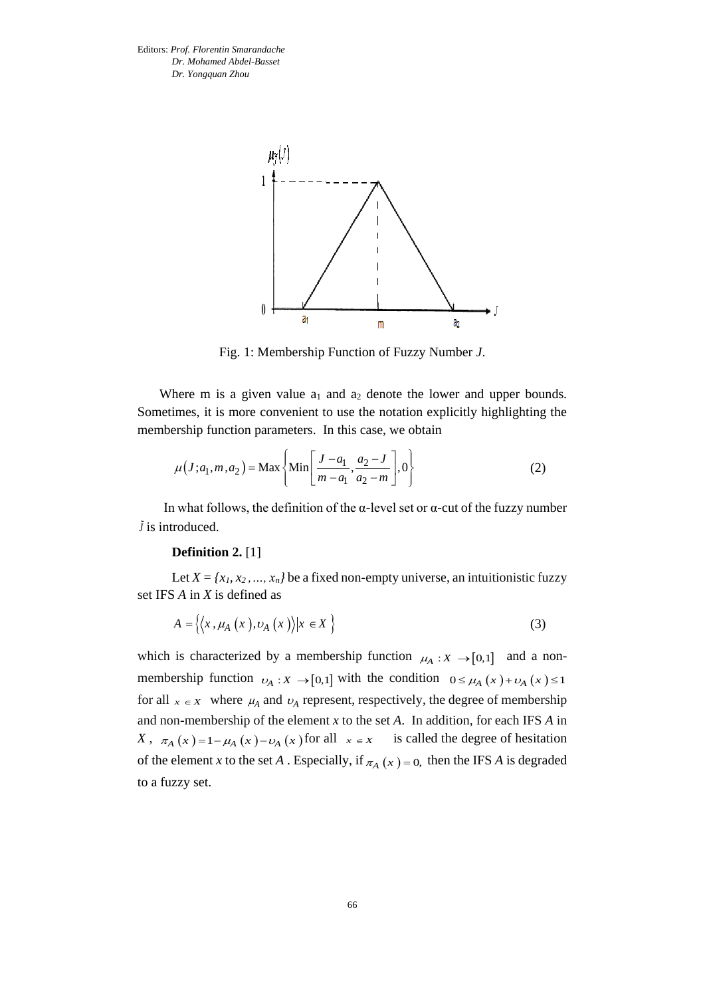

Fig. 1: Membership Function of Fuzzy Number *J*.

Where m is a given value  $a_1$  and  $a_2$  denote the lower and upper bounds. Sometimes, it is more convenient to use the notation explicitly highlighting the membership function parameters. In this case, we obtain

$$
\mu(J; a_1, m, a_2) = \text{Max}\left\{\text{Min}\left[\frac{J - a_1}{m - a_1}, \frac{a_2 - J}{a_2 - m}\right], 0\right\}
$$
(2)

In what follows, the definition of the  $\alpha$ -level set or  $\alpha$ -cut of the fuzzy number *J* is introduced.

#### **Definition 2.** [1]

Let  $X = \{x_1, x_2, ..., x_n\}$  be a fixed non-empty universe, an intuitionistic fuzzy set IFS *A* in *X* is defined as

$$
A = \{ \langle x, \mu_A(x), \nu_A(x) \rangle | x \in X \}
$$
 (3)

which is characterized by a membership function  $\mu_A : X \to [0,1]$  and a nonmembership function  $v_A: X \to [0,1]$  with the condition  $0 \le \mu_A(x) + \nu_A(x) \le 1$ for all  $x \in X$  where  $\mu_A$  and  $\nu_A$  represent, respectively, the degree of membership and non-membership of the element *x* to the set *A*. In addition, for each IFS *A* in *X*,  $\pi_A(x) = 1 - \mu_A(x) - \nu_A(x)$  for all  $x \in X$  is called the degree of hesitation of the element *x* to the set *A*. Especially, if  $\pi_A(x) = 0$ , then the IFS *A* is degraded to a fuzzy set.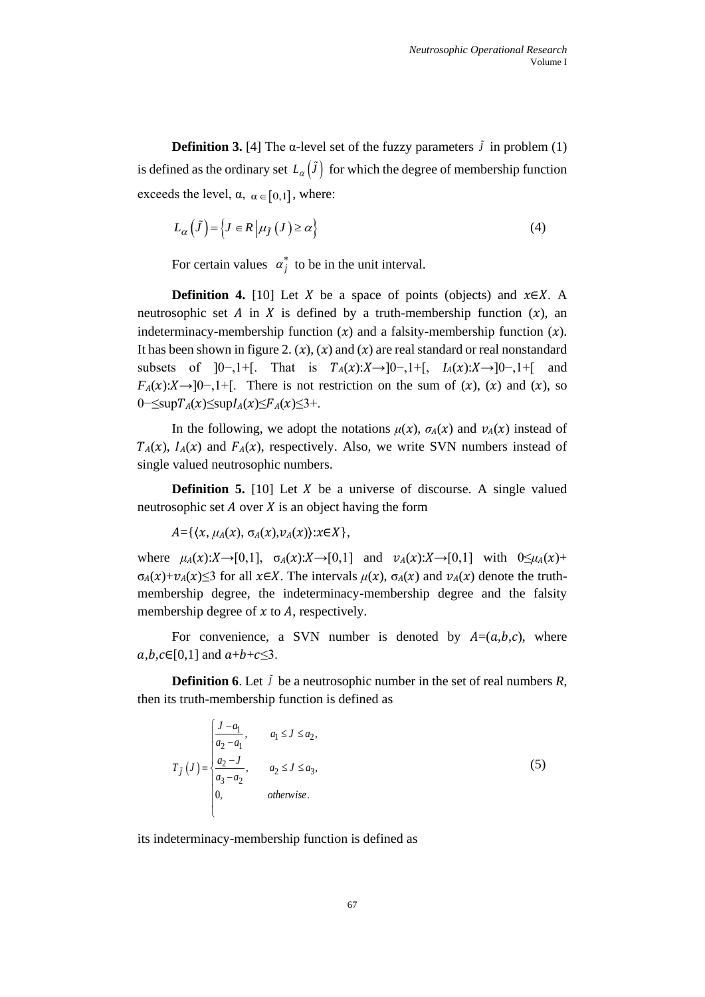**Definition 3.** [4] The  $\alpha$ -level set of the fuzzy parameters  $\ddot{j}$  in problem (1) is defined as the ordinary set  $L_{\alpha}(J)$  for which the degree of membership function exceeds the level,  $\alpha$ ,  $\alpha \in [0,1]$ , where:

$$
L_{\alpha}(\tilde{J}) = \{ J \in R \mid \mu_{\tilde{J}}(J) \ge \alpha \}
$$
 (4)

For certain values  $\alpha_j^*$  to be in the unit interval.

**Definition 4.** [10] Let X be a space of points (objects) and  $x \in X$ . A neutrosophic set A in X is defined by a truth-membership function  $(x)$ , an indeterminacy-membership function  $(x)$  and a falsity-membership function  $(x)$ . It has been shown in figure 2.  $(x)$ ,  $(x)$  and  $(x)$  are real standard or real nonstandard subsets of  $]0-,1+[$ . That is  $T_A(x):X\rightarrow]0-,1+$ [,  $I_A(x):X\rightarrow]0-,1+$ ] and  $F_A(x):X\to [0-,1]^+$ . There is not restriction on the sum of  $(x)$ ,  $(x)$  and  $(x)$ , so  $0 \leq \sup T_A(x) \leq \sup I_A(x) \leq F_A(x) \leq 3+$ .

In the following, we adopt the notations  $\mu(x)$ ,  $\sigma_A(x)$  and  $\nu_A(x)$  instead of  $T_A(x)$ ,  $I_A(x)$  and  $F_A(x)$ , respectively. Also, we write SVN numbers instead of single valued neutrosophic numbers.

**Definition 5.** [10] Let  $X$  be a universe of discourse. A single valued neutrosophic set  $A$  over  $X$  is an object having the form

 $A = \{ \langle x, \mu_A(x), \sigma_A(x), \nu_A(x) \rangle : x \in X \},\$ 

where  $\mu_A(x):X\to [0,1], \sigma_A(x):X\to [0,1]$  and  $\nu_A(x):X\to [0,1]$  with  $0\leq \mu_A(x)+$  $\sigma_A(x)+\nu_A(x) \leq 3$  for all  $x \in X$ . The intervals  $\mu(x)$ ,  $\sigma_A(x)$  and  $\nu_A(x)$  denote the truthmembership degree, the indeterminacy-membership degree and the falsity membership degree of  $x$  to  $A$ , respectively.

For convenience, a SVN number is denoted by  $A=(a,b,c)$ , where  $a,b,c \in [0,1]$  and  $a+b+c \leq 3$ .

**Definition 6**. Let  $\tilde{J}$  be a neutrosophic number in the set of real numbers  $R$ , then its truth-membership function is defined as

$$
T_{\tilde{J}}(J) = \begin{cases} \frac{J - a_1}{a_2 - a_1}, & a_1 \le J \le a_2, \\ \frac{a_2 - J}{a_3 - a_2}, & a_2 \le J \le a_3, \\ 0, & \text{otherwise.} \end{cases}
$$
 (5)

its indeterminacy-membership function is defined as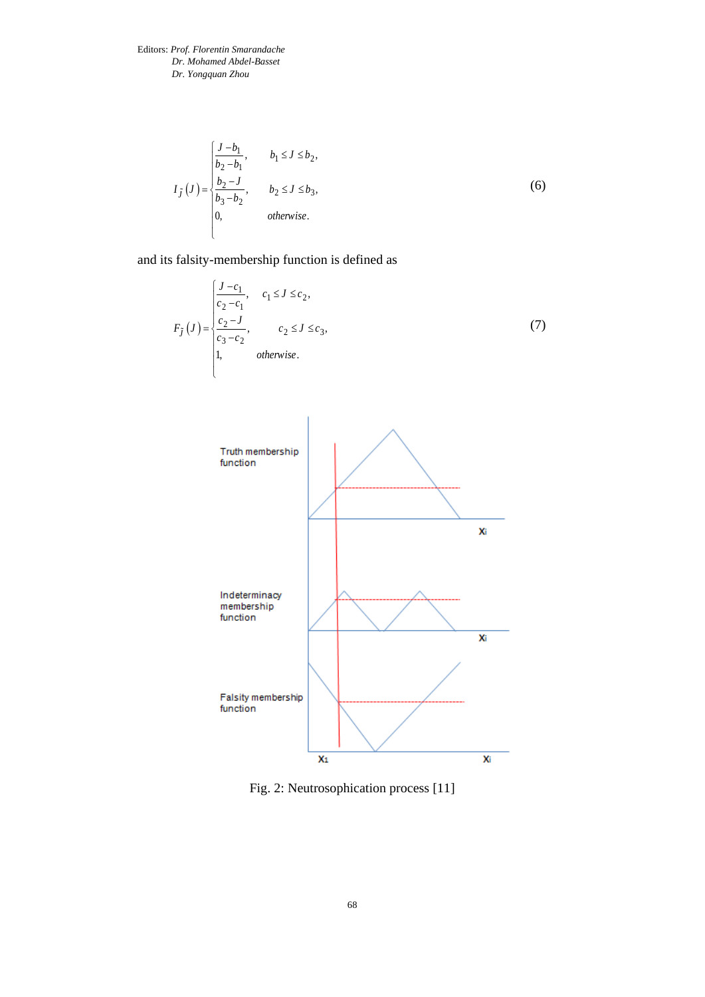$$
I_{\tilde{J}}(J) = \begin{cases} \frac{J - b_1}{b_2 - b_1}, & b_1 \le J \le b_2, \\ \frac{b_2 - J}{b_3 - b_2}, & b_2 \le J \le b_3, \\ 0, & \text{otherwise.} \end{cases}
$$
 (6)

and its falsity-membership function is defined as

$$
F_{\tilde{J}}(J) = \begin{cases} \frac{J - c_1}{c_2 - c_1}, & c_1 \le J \le c_2, \\ \frac{c_2 - J}{c_3 - c_2}, & c_2 \le J \le c_3, \\ 1, & \text{otherwise.} \end{cases}
$$
(7)



Fig. 2: Neutrosophication process [11]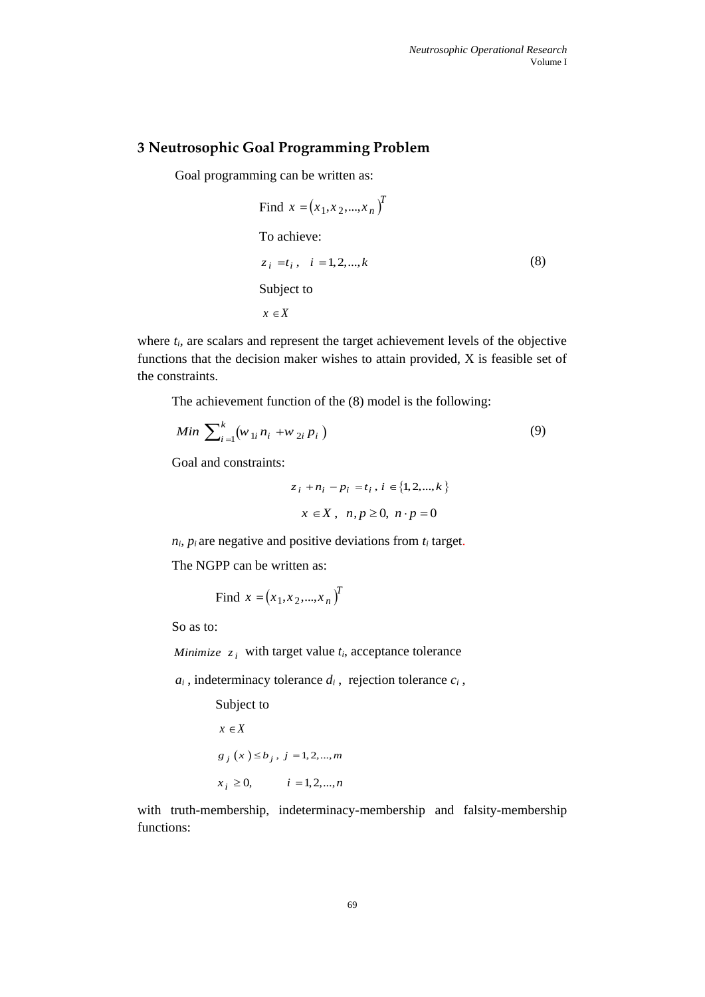# **3 Neutrosophic Goal Programming Problem**

Goal programming can be written as:

Find 
$$
x = (x_1, x_2, ..., x_n)^T
$$
  
\nTo achieve:  
\n $z_i = t_i, \quad i = 1, 2, ..., k$  (8)  
\nSubject to  
\n $x \in X$ 

where  $t_i$ , are scalars and represent the target achievement levels of the objective functions that the decision maker wishes to attain provided, X is feasible set of the constraints.

The achievement function of the (8) model is the following:

$$
Min \sum_{i=1}^{k} (w_{1i} n_i + w_{2i} p_i)
$$
 (9)

Goal and constraints:

$$
z_i + n_i - p_i = t_i, i \in \{1, 2, ..., k\}
$$
  
 $x \in X, n, p \ge 0, n \cdot p = 0$ 

 $n_i$ ,  $p_i$  are negative and positive deviations from  $t_i$  target.

The NGPP can be written as:

Find 
$$
x = (x_1, x_2, ..., x_n)^T
$$

So as to:

*Minimize*  $z_i$  with target value  $t_i$ , acceptance tolerance

 $a_i$ , indeterminacy tolerance  $d_i$ , rejection tolerance  $c_i$ ,

Subject to  $x \in X$  $g_j(x) \leq b_j, j = 1,2,...,m$  $x_i \ge 0, \qquad i = 1, 2, ..., n$ 

with truth-membership, indeterminacy-membership and falsity-membership functions: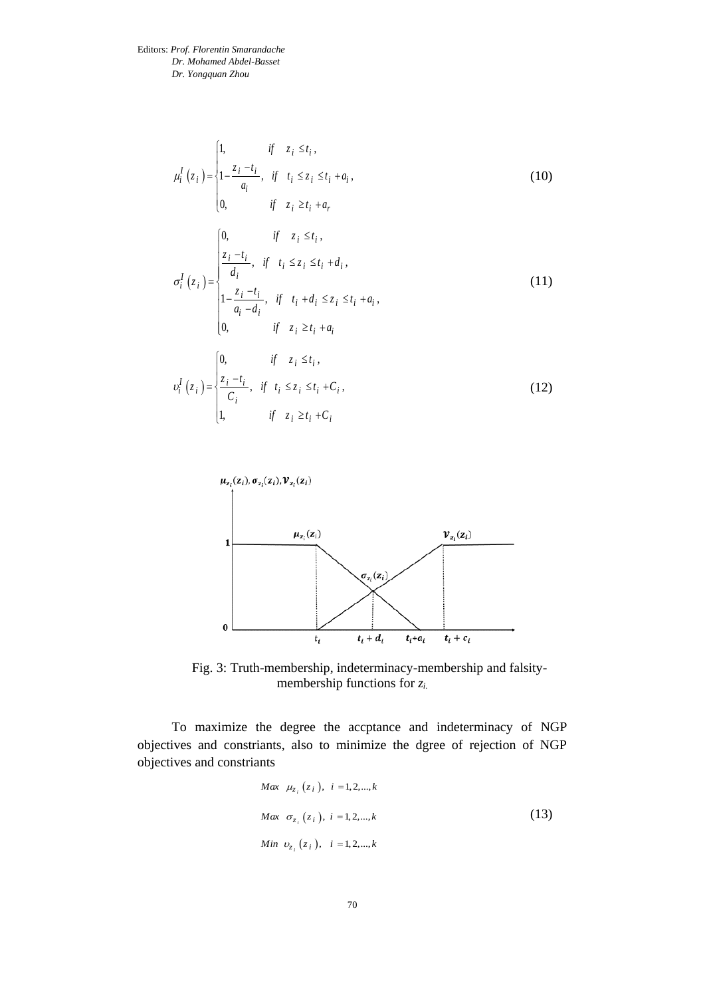$$
\mu_{i}^{I}(z_{i}) = \begin{cases}\n1, & \text{if } z_{i} \leq t_{i}, \\
1 - \frac{z_{i} - t_{i}}{a_{i}}, & \text{if } t_{i} \leq z_{i} \leq t_{i} + a_{i}, \\
0, & \text{if } z_{i} \geq t_{i} + a_{r} \n\end{cases}
$$
\n(10)  
\n
$$
\sigma_{i}^{I}(z_{i}) = \begin{cases}\n0, & \text{if } z_{i} \leq t_{i}, \\
\frac{z_{i} - t_{i}}{d_{i}}, & \text{if } t_{i} \leq z_{i} \leq t_{i} + d_{i}, \\
1 - \frac{z_{i} - t_{i}}{a_{i} - d_{i}}, & \text{if } t_{i} + d_{i} \leq z_{i} \leq t_{i} + a_{i}, \\
0, & \text{if } z_{i} \geq t_{i} + a_{i} \n\end{cases}
$$
\n(11)  
\n
$$
\nu_{i}^{I}(z_{i}) = \begin{cases}\n0, & \text{if } z_{i} \leq t_{i}, \\
\frac{z_{i} - t_{i}}{C_{i}}, & \text{if } t_{i} \leq z_{i} \leq t_{i} + C_{i}, \\
1, & \text{if } z_{i} \geq t_{i} + C_{i}\n\end{cases}
$$
\n(12)



Fig. 3: Truth-membership, indeterminacy-membership and falsitymembership functions for *zi.*

To maximize the degree the accptance and indeterminacy of NGP objectives and constriants, also to minimize the dgree of rejection of NGP objectives and constriants

$$
Max \t \mu_{z_i}(z_i), \t i = 1, 2, ..., k
$$
  
\n
$$
Max \t \sigma_{z_i}(z_i), \t i = 1, 2, ..., k
$$
  
\n
$$
Min \t v_{z_i}(z_i), \t i = 1, 2, ..., k
$$
\n(13)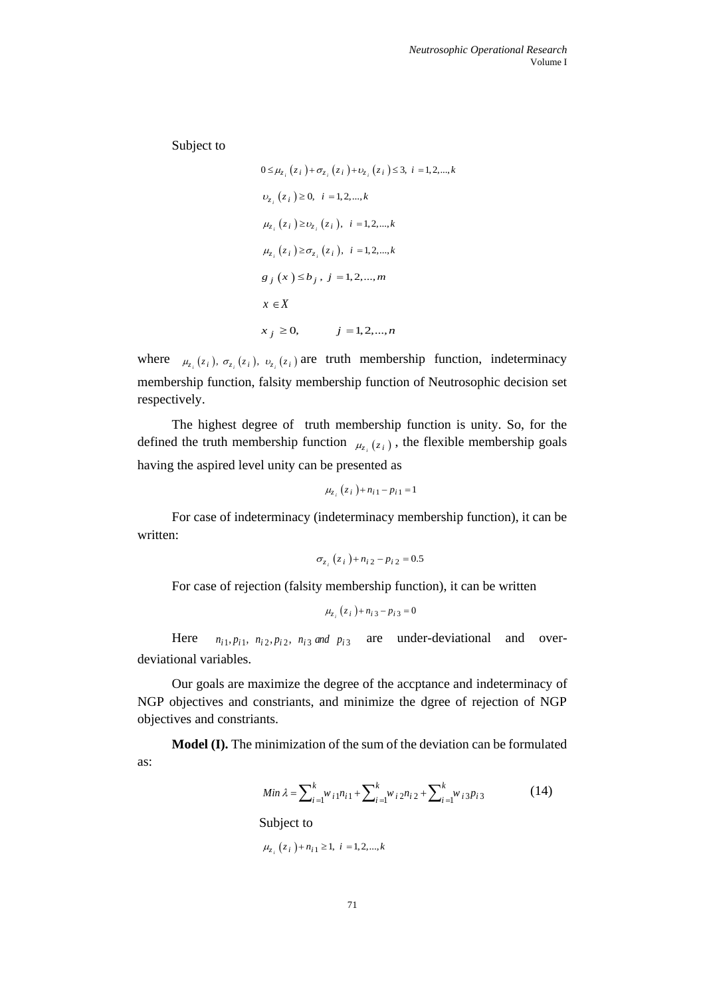Subject to

$$
0 \leq \mu_{z_i}(z_i) + \sigma_{z_i}(z_i) + \nu_{z_i}(z_i) \leq 3, \ i = 1, 2, ..., k
$$
  
\n
$$
\nu_{z_i}(z_i) \geq 0, \ i = 1, 2, ..., k
$$
  
\n
$$
\mu_{z_i}(z_i) \geq \nu_{z_i}(z_i), \ i = 1, 2, ..., k
$$
  
\n
$$
\mu_{z_i}(z_i) \geq \sigma_{z_i}(z_i), \ i = 1, 2, ..., k
$$
  
\n
$$
g_j(x) \leq b_j, \ j = 1, 2, ..., m
$$
  
\n
$$
x \in X
$$
  
\n
$$
x_j \geq 0, \quad j = 1, 2, ..., n
$$

where  $\mu_{z_i}(z_i)$ ,  $\sigma_{z_i}(z_i)$ ,  $\nu_{z_i}(z_i)$  are truth membership function, indeterminacy membership function, falsity membership function of Neutrosophic decision set respectively.

The highest degree of truth membership function is unity. So, for the defined the truth membership function  $\mu_{z_i}(z_i)$ , the flexible membership goals having the aspired level unity can be presented as

$$
\mu_{z_i}(z_i) + n_{i1} - p_{i1} = 1
$$

For case of indeterminacy (indeterminacy membership function), it can be written:

$$
\sigma_{z_i}(z_i) + n_{i2} - p_{i2} = 0.5
$$

For case of rejection (falsity membership function), it can be written

$$
\mu_{z_i}(z_i) + n_{i3} - p_{i3} = 0
$$

Here  $n_{i1}, p_{i1}, n_{i2}, p_{i2}, n_{i3}$  and  $p_{i3}$  are under-deviational and overdeviational variables.

Our goals are maximize the degree of the accptance and indeterminacy of NGP objectives and constriants, and minimize the dgree of rejection of NGP objectives and constriants.

**Model (I).** The minimization of the sum of the deviation can be formulated as:

$$
Min \lambda = \sum_{i=1}^{k} w_{i1} n_{i1} + \sum_{i=1}^{k} w_{i2} n_{i2} + \sum_{i=1}^{k} w_{i3} p_{i3}
$$
 (14)

Subject to

$$
\mu_{z_i}(z_i) + n_{i1} \ge 1, i = 1, 2, ..., k
$$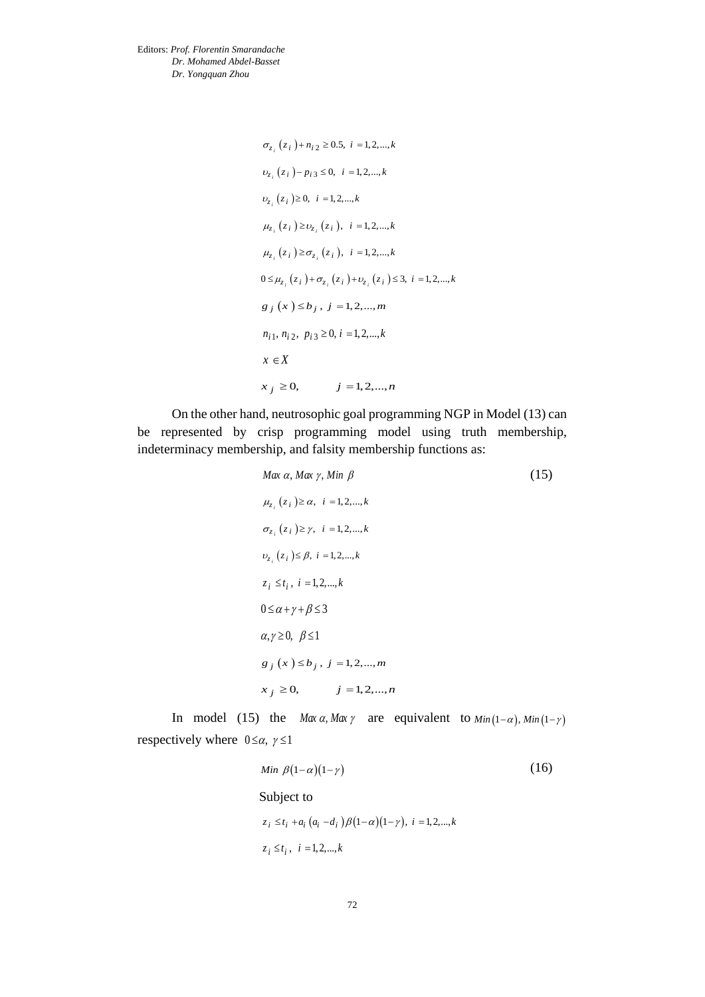$$
\sigma_{z_i}(z_i) + n_{i2} \ge 0.5, i = 1, 2, ..., k
$$
  
\n
$$
\upsilon_{z_i}(z_i) - p_{i3} \le 0, i = 1, 2, ..., k
$$
  
\n
$$
\upsilon_{z_i}(z_i) \ge 0, i = 1, 2, ..., k
$$
  
\n
$$
\mu_{z_i}(z_i) \ge \upsilon_{z_i}(z_i), i = 1, 2, ..., k
$$
  
\n
$$
\mu_{z_i}(z_i) \ge \sigma_{z_i}(z_i), i = 1, 2, ..., k
$$
  
\n
$$
0 \le \mu_{z_i}(z_i) + \sigma_{z_i}(z_i) + \upsilon_{z_i}(z_i) \le 3, i = 1, 2, ..., k
$$
  
\n
$$
g_j(x) \le b_j, j = 1, 2, ..., m
$$
  
\n
$$
n_{i1}, n_{i2}, p_{i3} \ge 0, i = 1, 2, ..., k
$$
  
\n
$$
x \in X
$$
  
\n
$$
x_j \ge 0, j = 1, 2, ..., n
$$

On the other hand, neutrosophic goal programming NGP in Model (13) can be represented by crisp programming model using truth membership, indeterminacy membership, and falsity membership functions as:

| Max $\alpha$ , Max $\gamma$ , Min $\beta$         | (15) |
|---------------------------------------------------|------|
| $\mu_{z_i}(z_i) \ge \alpha, i = 1, 2, , k$        |      |
| $\sigma_{z_i}(z_i) \geq \gamma$ , $i = 1, 2, , k$ |      |
| $v_{z_i}(z_i) \leq \beta, i = 1, 2, , k$          |      |
| $z_i \leq t_i$ , $i = 1, 2, , k$                  |      |
| $0 \leq \alpha + \gamma + \beta \leq 3$           |      |
| $\alpha, \gamma \geq 0, \ \beta \leq 1$           |      |
| $g_j(x) \leq b_j$ , $j = 1, 2, , m$               |      |
| $i = 1, 2, , n$<br>$x_i \geq 0$ ,                 |      |

In model (15) the *Max a, Max y* are equivalent to  $Min(1-\alpha)$ ,  $Min(1-\gamma)$ respectively where  $0 \le \alpha$ ,  $\gamma \le 1$ 

Min 
$$
\beta(1-\alpha)(1-\gamma)
$$
 (16)  
\nSubject to  
\n $z_i \le t_i + a_i (a_i - d_i) \beta(1-\alpha)(1-\gamma), i = 1, 2, \dots, k$   
\n $z_i \le t_i, i = 1, 2, \dots, k$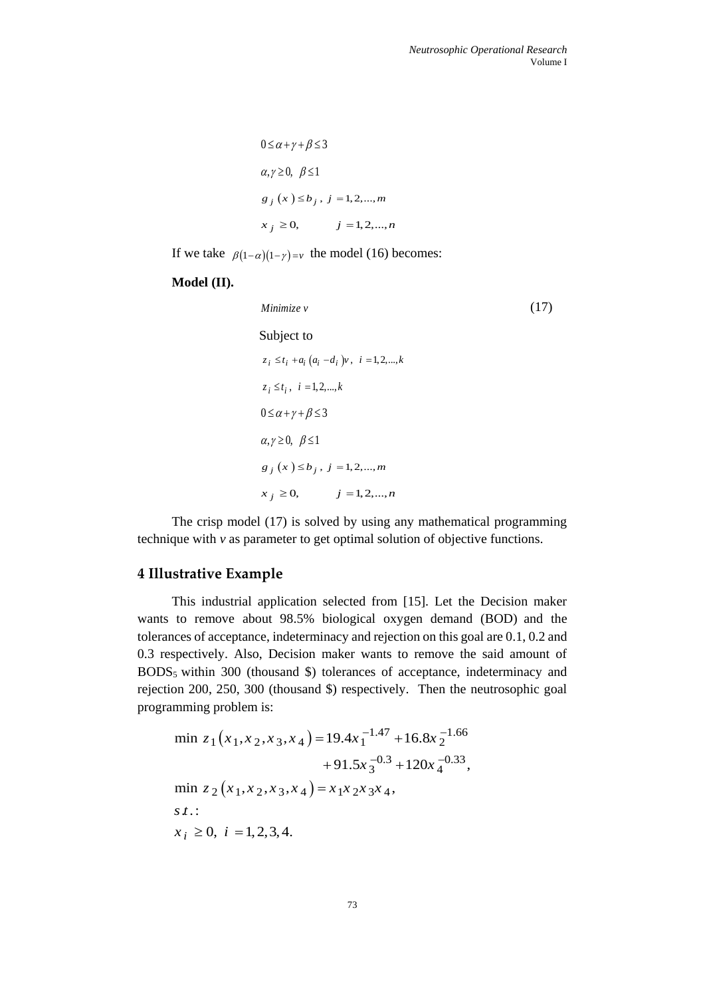```
0 \leq \alpha + \gamma + \beta \leq 3\alpha, \gamma \geq 0, \ \beta \leq 1g_j(x) \leq b_j, j = 1,2,...,mx_j \ge 0, j = 1,2,...,n
```
If we take  $\beta(1-\alpha)(1-\gamma)=\nu$  the model (16) becomes:

#### **Model (II).**

*Minimize v* (17) Subject to  $z_i \le t_i + a_i (a_i - d_i) v, i = 1, 2, ..., k$  $z_i \le t_i$ ,  $i = 1,2,...,k$  $0 \leq \alpha + \gamma + \beta \leq 3$  $\alpha, \gamma \geq 0, \ \beta \leq 1$  $g_j(x) \leq b_j, j = 1,2,...,m$  $x_j \ge 0,$   $j = 1,2,...,n$ 

The crisp model (17) is solved by using any mathematical programming technique with *v* as parameter to get optimal solution of objective functions.

## **4 Illustrative Example**

This industrial application selected from [15]. Let the Decision maker wants to remove about 98.5% biological oxygen demand (BOD) and the tolerances of acceptance, indeterminacy and rejection on this goal are 0.1, 0.2 and 0.3 respectively. Also, Decision maker wants to remove the said amount of BODS5 within 300 (thousand \$) tolerances of acceptance, indeterminacy and rejection 200, 250, 300 (thousand \$) respectively. Then the neutrosophic goal programming problem is:

$$
\min \sum_{z=1}^{\infty} \text{procent is.}
$$
\n
$$
\min z_{1}(x_{1}, x_{2}, x_{3}, x_{4}) = 19.4x_{1}^{-1.47} + 16.8x_{2}^{-1.66} + 91.5x_{3}^{-0.3} + 120x_{4}^{-0.33},
$$
\n
$$
\min z_{2}(x_{1}, x_{2}, x_{3}, x_{4}) = x_{1}x_{2}x_{3}x_{4},
$$
\n
$$
s.t.:
$$
\n
$$
x_{i} \geq 0, \quad i = 1, 2, 3, 4.
$$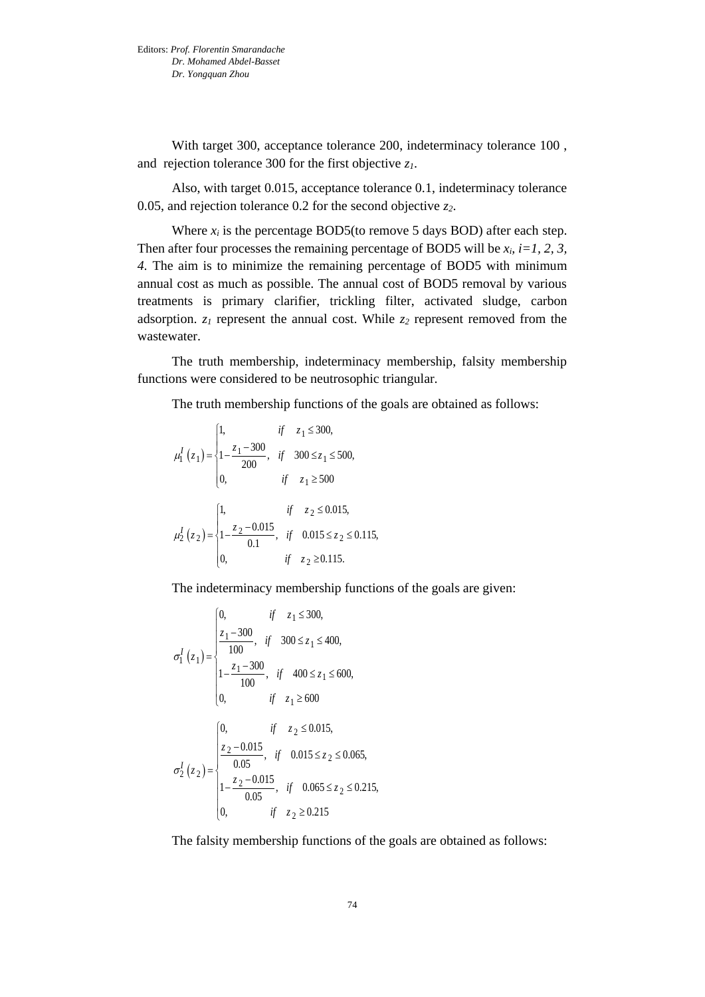With target 300, acceptance tolerance 200, indeterminacy tolerance 100 , and rejection tolerance 300 for the first objective *z1*.

Also, with target 0.015, acceptance tolerance 0.1, indeterminacy tolerance 0.05, and rejection tolerance 0.2 for the second objective *z2*.

Where  $x_i$  is the percentage BOD5(to remove 5 days BOD) after each step. Then after four processes the remaining percentage of BOD5 will be  $x_i$ ,  $i=1, 2, 3$ , *4.* The aim is to minimize the remaining percentage of BOD5 with minimum annual cost as much as possible. The annual cost of BOD5 removal by various treatments is primary clarifier, trickling filter, activated sludge, carbon adsorption. *z<sup>1</sup>* represent the annual cost. While *z<sup>2</sup>* represent removed from the wastewater.

The truth membership, indeterminacy membership, falsity membership functions were considered to be neutrosophic triangular.

The truth membership functions of the goals are obtained as follows:

$$
\mu_1^I(z_1) = \begin{cases}\n1, & if z_1 \le 300, \\
1 - \frac{z_1 - 300}{200}, & if 300 \le z_1 \le 500, \\
0, & if z_1 \ge 500\n\end{cases}
$$
\n
$$
\mu_2^I(z_2) = \begin{cases}\n1, & if z_2 \le 0.015, \\
1 - \frac{z_2 - 0.015}{0.1}, & if 0.015 \le z_2 \le 0.115, \\
0, & if z_2 \ge 0.115.\n\end{cases}
$$

The indeterminacy membership functions of the goals are given:

$$
\sigma_1^I(z_1) = \begin{cases}\n0, & \text{if } z_1 \le 300, \\
\frac{z_1 - 300}{100}, & \text{if } 300 \le z_1 \le 400, \\
1 - \frac{z_1 - 300}{100}, & \text{if } 400 \le z_1 \le 600, \\
0, & \text{if } z_1 \ge 600\n\end{cases}
$$
\n
$$
\sigma_2^I(z_2) = \begin{cases}\n0, & \text{if } z_2 \le 0.015, \\
\frac{z_2 - 0.015}{0.05}, & \text{if } 0.015 \le z_2 \le 0.065, \\
1 - \frac{z_2 - 0.015}{0.05}, & \text{if } 0.065 \le z_2 \le 0.215, \\
0, & \text{if } z_2 \ge 0.215\n\end{cases}
$$

The falsity membership functions of the goals are obtained as follows: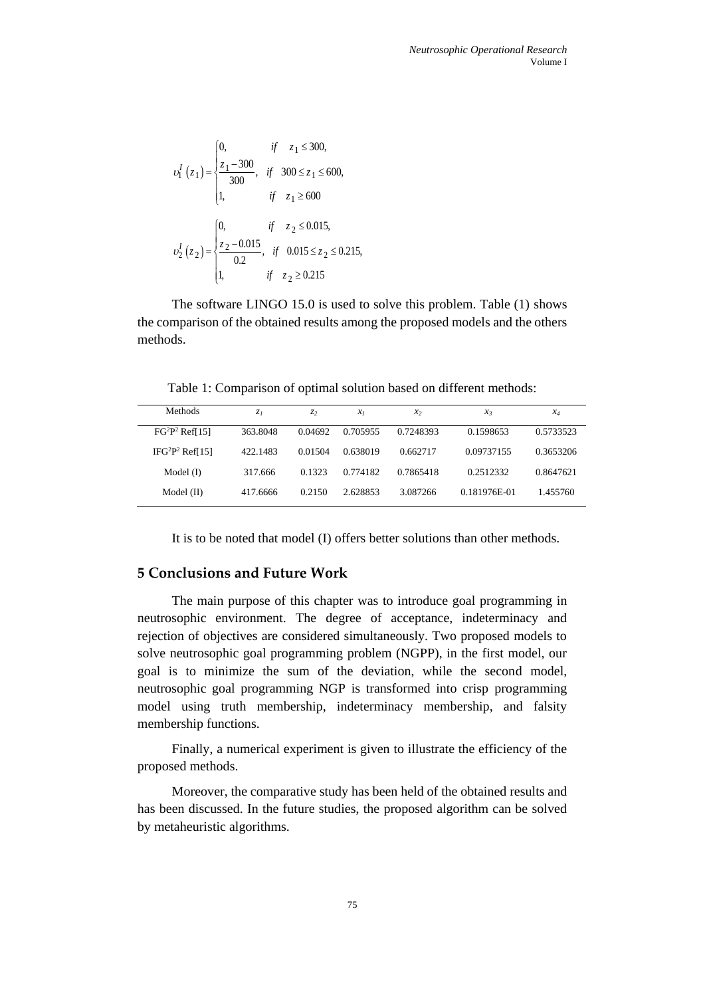$$
v_1^I(z_1) = \begin{cases} 0, & \text{if } z_1 \le 300, \\ \frac{z_1 - 300}{300}, & \text{if } 300 \le z_1 \le 600, \\ 1, & \text{if } z_1 \ge 600 \end{cases}
$$
\n
$$
v_2^I(z_2) = \begin{cases} 0, & \text{if } z_2 \le 0.015, \\ \frac{z_2 - 0.015}{0.2}, & \text{if } 0.015 \le z_2 \le 0.215, \\ 1, & \text{if } z_2 \ge 0.215 \end{cases}
$$

The software LINGO 15.0 is used to solve this problem. Table (1) shows the comparison of the obtained results among the proposed models and the others methods.

Table 1: Comparison of optimal solution based on different methods:

| Methods                        | $Z_I$    | Z <sub>2</sub> | $x_I$    | $x_2$     | $x_3$        | $x_4$     |
|--------------------------------|----------|----------------|----------|-----------|--------------|-----------|
| $FG2P2$ Ref[15]                | 363.8048 | 0.04692        | 0.705955 | 0.7248393 | 0.1598653    | 0.5733523 |
| IFG <sup>2</sup> $P^2$ Ref[15] | 422.1483 | 0.01504        | 0.638019 | 0.662717  | 0.09737155   | 0.3653206 |
| Model $(I)$                    | 317.666  | 0.1323         | 0.774182 | 0.7865418 | 0.2512332    | 0.8647621 |
| Model (II)                     | 417.6666 | 0.2150         | 2.628853 | 3.087266  | 0.181976E-01 | 1.455760  |

It is to be noted that model (I) offers better solutions than other methods.

## **5 Conclusions and Future Work**

The main purpose of this chapter was to introduce goal programming in neutrosophic environment. The degree of acceptance, indeterminacy and rejection of objectives are considered simultaneously. Two proposed models to solve neutrosophic goal programming problem (NGPP), in the first model, our goal is to minimize the sum of the deviation, while the second model, neutrosophic goal programming NGP is transformed into crisp programming model using truth membership, indeterminacy membership, and falsity membership functions.

Finally, a numerical experiment is given to illustrate the efficiency of the proposed methods.

Moreover, the comparative study has been held of the obtained results and has been discussed. In the future studies, the proposed algorithm can be solved by metaheuristic algorithms.